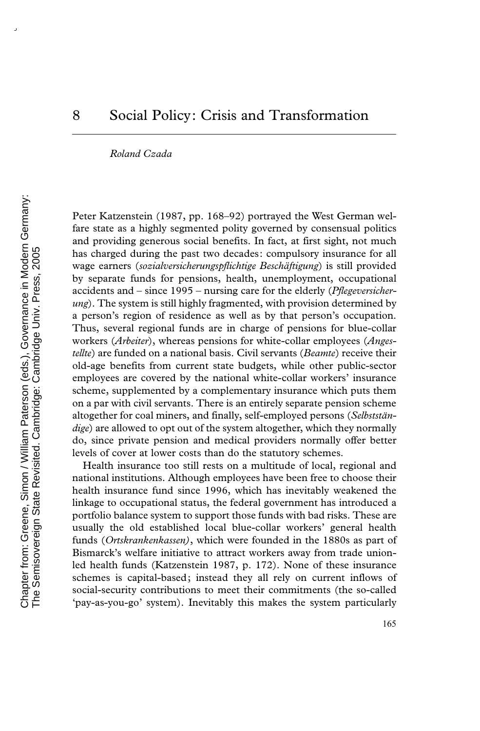Roland Czada

Peter Katzenstein (1987, pp. 168–92) portrayed the West German welfare state as a highly segmented polity governed by consensual politics and providing generous social benefits. In fact, at first sight, not much has charged during the past two decades: compulsory insurance for all wage earners (sozialversicherungspflichtige Beschäftigung) is still provided by separate funds for pensions, health, unemployment, occupational accidents and – since 1995 – nursing care for the elderly (Pflegeversicherung). The system is still highly fragmented, with provision determined by a person's region of residence as well as by that person's occupation. Thus, several regional funds are in charge of pensions for blue-collar workers (Arbeiter), whereas pensions for white-collar employees (Angestellte) are funded on a national basis. Civil servants (Beamte) receive their old-age benefits from current state budgets, while other public-sector employees are covered by the national white-collar workers' insurance scheme, supplemented by a complementary insurance which puts them on a par with civil servants. There is an entirely separate pension scheme altogether for coal miners, and finally, self-employed persons (Selbstständige) are allowed to opt out of the system altogether, which they normally do, since private pension and medical providers normally offer better levels of cover at lower costs than do the statutory schemes.

Health insurance too still rests on a multitude of local, regional and national institutions. Although employees have been free to choose their health insurance fund since 1996, which has inevitably weakened the linkage to occupational status, the federal government has introduced a portfolio balance system to support those funds with bad risks. These are usually the old established local blue-collar workers' general health funds (Ortskrankenkassen), which were founded in the 1880s as part of Bismarck's welfare initiative to attract workers away from trade unionled health funds (Katzenstein 1987, p. 172). None of these insurance schemes is capital-based; instead they all rely on current inflows of social-security contributions to meet their commitments (the so-called 'pay-as-you-go' system). Inevitably this makes the system particularly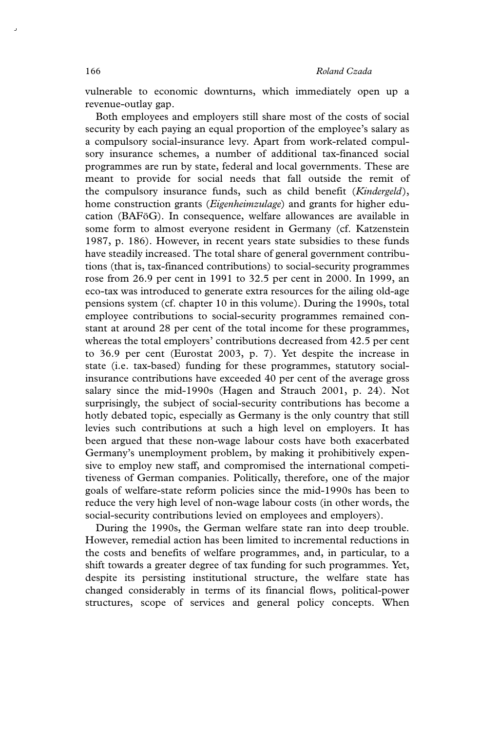vulnerable to economic downturns, which immediately open up a revenue-outlay gap.

Both employees and employers still share most of the costs of social security by each paying an equal proportion of the employee's salary as a compulsory social-insurance levy. Apart from work-related compulsory insurance schemes, a number of additional tax-financed social programmes are run by state, federal and local governments. These are meant to provide for social needs that fall outside the remit of the compulsory insurance funds, such as child benefit (Kindergeld), home construction grants (Eigenheimzulage) and grants for higher education (BAFöG). In consequence, welfare allowances are available in some form to almost everyone resident in Germany (cf. Katzenstein 1987, p. 186). However, in recent years state subsidies to these funds have steadily increased. The total share of general government contributions (that is, tax-financed contributions) to social-security programmes rose from 26.9 per cent in 1991 to 32.5 per cent in 2000. In 1999, an eco-tax was introduced to generate extra resources for the ailing old-age pensions system (cf. chapter 10 in this volume). During the 1990s, total employee contributions to social-security programmes remained constant at around 28 per cent of the total income for these programmes, whereas the total employers' contributions decreased from 42.5 per cent to 36.9 per cent (Eurostat 2003, p. 7). Yet despite the increase in state (i.e. tax-based) funding for these programmes, statutory socialinsurance contributions have exceeded 40 per cent of the average gross salary since the mid-1990s (Hagen and Strauch 2001, p. 24). Not surprisingly, the subject of social-security contributions has become a hotly debated topic, especially as Germany is the only country that still levies such contributions at such a high level on employers. It has been argued that these non-wage labour costs have both exacerbated Germany's unemployment problem, by making it prohibitively expensive to employ new staff, and compromised the international competitiveness of German companies. Politically, therefore, one of the major goals of welfare-state reform policies since the mid-1990s has been to reduce the very high level of non-wage labour costs (in other words, the social-security contributions levied on employees and employers).

During the 1990s, the German welfare state ran into deep trouble. However, remedial action has been limited to incremental reductions in the costs and benefits of welfare programmes, and, in particular, to a shift towards a greater degree of tax funding for such programmes. Yet, despite its persisting institutional structure, the welfare state has changed considerably in terms of its financial flows, political-power structures, scope of services and general policy concepts. When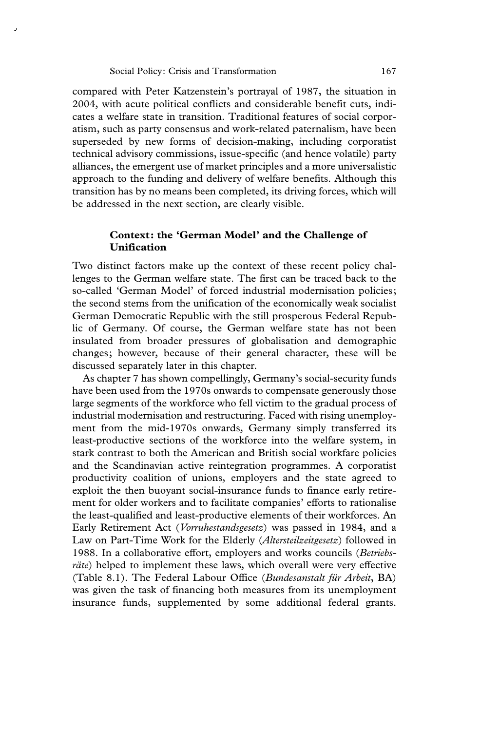compared with Peter Katzenstein's portrayal of 1987, the situation in 2004, with acute political conflicts and considerable benefit cuts, indicates a welfare state in transition. Traditional features of social corporatism, such as party consensus and work-related paternalism, have been superseded by new forms of decision-making, including corporatist technical advisory commissions, issue-specific (and hence volatile) party alliances, the emergent use of market principles and a more universalistic approach to the funding and delivery of welfare benefits. Although this transition has by no means been completed, its driving forces, which will be addressed in the next section, are clearly visible.

## Context: the 'German Model' and the Challenge of Unification

Two distinct factors make up the context of these recent policy challenges to the German welfare state. The first can be traced back to the so-called 'German Model' of forced industrial modernisation policies; the second stems from the unification of the economically weak socialist German Democratic Republic with the still prosperous Federal Republic of Germany. Of course, the German welfare state has not been insulated from broader pressures of globalisation and demographic changes; however, because of their general character, these will be discussed separately later in this chapter.

As chapter 7 has shown compellingly, Germany's social-security funds have been used from the 1970s onwards to compensate generously those large segments of the workforce who fell victim to the gradual process of industrial modernisation and restructuring. Faced with rising unemployment from the mid-1970s onwards, Germany simply transferred its least-productive sections of the workforce into the welfare system, in stark contrast to both the American and British social workfare policies and the Scandinavian active reintegration programmes. A corporatist productivity coalition of unions, employers and the state agreed to exploit the then buoyant social-insurance funds to finance early retirement for older workers and to facilitate companies' efforts to rationalise the least-qualified and least-productive elements of their workforces. An Early Retirement Act (Vorruhestandsgesetz) was passed in 1984, and a Law on Part-Time Work for the Elderly (Altersteilzeitgesetz) followed in 1988. In a collaborative effort, employers and works councils (Betriebsräte) helped to implement these laws, which overall were very effective (Table 8.1). The Federal Labour Office (Bundesanstalt für Arbeit, BA) was given the task of financing both measures from its unemployment insurance funds, supplemented by some additional federal grants.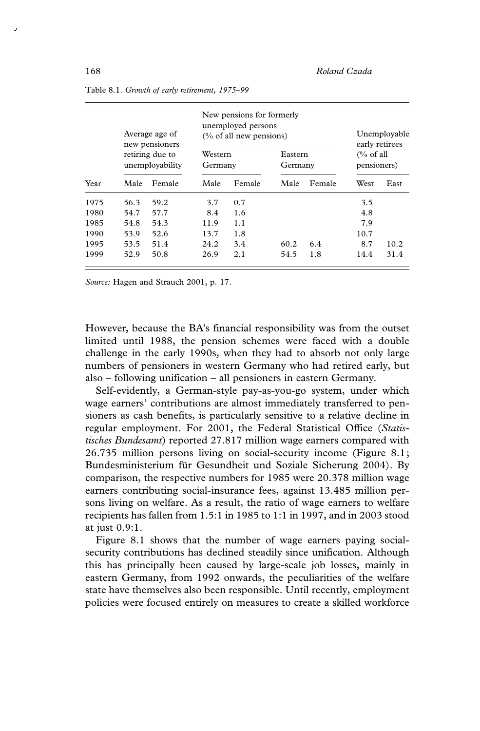| Year | Average age of<br>new pensioners<br>retiring due to<br>unemployability |        | New pensions for formerly<br>unemployed persons<br>$\frac{1}{2}$ of all new pensions) |        |                    |        | Unemployable<br>early retirees      |      |
|------|------------------------------------------------------------------------|--------|---------------------------------------------------------------------------------------|--------|--------------------|--------|-------------------------------------|------|
|      |                                                                        |        | Western<br>Germany                                                                    |        | Eastern<br>Germany |        | $\frac{6}{6}$ of all<br>pensioners) |      |
|      | Male                                                                   | Female | Male                                                                                  | Female | Male               | Female | West                                | East |
| 1975 | 56.3                                                                   | 59.2   | 3.7                                                                                   | 0.7    |                    |        | 3.5                                 |      |
| 1980 | 54.7                                                                   | 57.7   | 8.4                                                                                   | 1.6    |                    |        | 4.8                                 |      |
| 1985 | 54.8                                                                   | 54.3   | 11.9                                                                                  | 1.1    |                    |        | 7.9                                 |      |
| 1990 | 53.9                                                                   | 52.6   | 13.7                                                                                  | 1.8    |                    |        | 10.7                                |      |
| 1995 | 53.5                                                                   | 51.4   | 24.2                                                                                  | 3.4    | 60.2               | 6.4    | 8.7                                 | 10.2 |
| 1999 | 52.9                                                                   | 50.8   | 26.9                                                                                  | 2.1    | 54.5               | 1.8    | 14.4                                | 31.4 |

Table 8.1. Growth of early retirement, 1975–99

Source: Hagen and Strauch 2001, p. 17.

However, because the BA's financial responsibility was from the outset limited until 1988, the pension schemes were faced with a double challenge in the early 1990s, when they had to absorb not only large numbers of pensioners in western Germany who had retired early, but also – following unification – all pensioners in eastern Germany.

Self-evidently, a German-style pay-as-you-go system, under which wage earners' contributions are almost immediately transferred to pensioners as cash benefits, is particularly sensitive to a relative decline in regular employment. For 2001, the Federal Statistical Office (Statistisches Bundesamt) reported 27.817 million wage earners compared with 26.735 million persons living on social-security income (Figure 8.1; Bundesministerium für Gesundheit und Soziale Sicherung 2004). By comparison, the respective numbers for 1985 were 20.378 million wage earners contributing social-insurance fees, against 13.485 million persons living on welfare. As a result, the ratio of wage earners to welfare recipients has fallen from 1.5:1 in 1985 to 1:1 in 1997, and in 2003 stood at just 0.9:1.

Figure 8.1 shows that the number of wage earners paying socialsecurity contributions has declined steadily since unification. Although this has principally been caused by large-scale job losses, mainly in eastern Germany, from 1992 onwards, the peculiarities of the welfare state have themselves also been responsible. Until recently, employment policies were focused entirely on measures to create a skilled workforce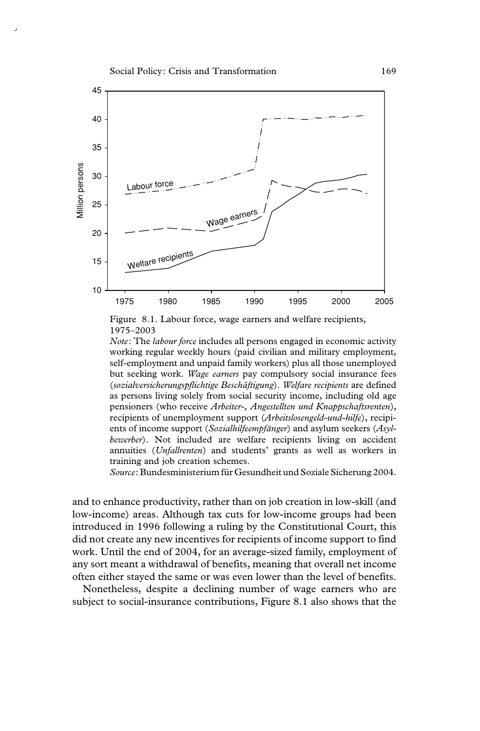

Figure 8.1. Labour force, wage earners and welfare recipients, 1975–2003

Note: The labour force includes all persons engaged in economic activity working regular weekly hours (paid civilian and military employment, self-employment and unpaid family workers) plus all those unemployed but seeking work. Wage earners pay compulsory social insurance fees (sozialversicherungspflichtige Beschäftigung). Welfare recipients are defined as persons living solely from social security income, including old age pensioners (who receive Arbeiter-, Angestellten und Knappschaftsrenten), recipients of unemployment support (Arbeitslosengeld-und-hilfe), recipients of income support (Sozialhilfeempfänger) and asylum seekers (Asylbewerber). Not included are welfare recipients living on accident annuities (Unfallrenten) and students' grants as well as workers in training and job creation schemes.

Source: Bundesministerium für Gesundheit und Soziale Sicherung 2004.

and to enhance productivity, rather than on job creation in low-skill (and low-income) areas. Although tax cuts for low-income groups had been introduced in 1996 following a ruling by the Constitutional Court, this did not create any new incentives for recipients of income support to find work. Until the end of 2004, for an average-sized family, employment of any sort meant a withdrawal of benefits, meaning that overall net income often either stayed the same or was even lower than the level of benefits.

Nonetheless, despite a declining number of wage earners who are subject to social-insurance contributions, Figure 8.1 also shows that the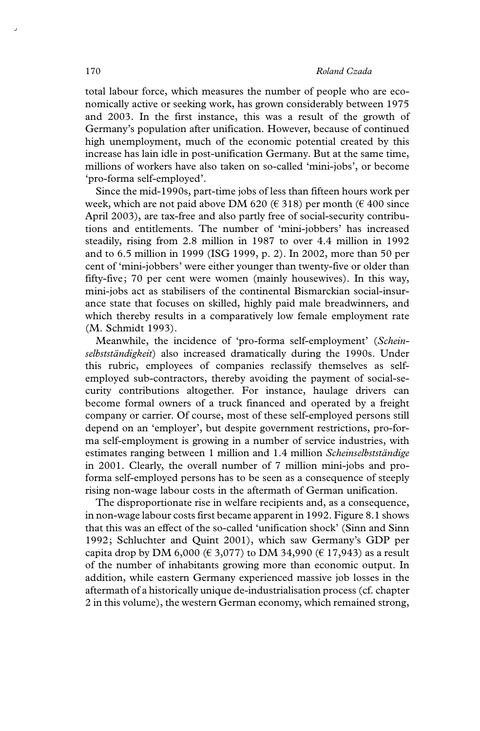total labour force, which measures the number of people who are economically active or seeking work, has grown considerably between 1975 and 2003. In the first instance, this was a result of the growth of Germany's population after unification. However, because of continued high unemployment, much of the economic potential created by this increase has lain idle in post-unification Germany. But at the same time, millions of workers have also taken on so-called 'mini-jobs', or become 'pro-forma self-employed'.

Since the mid-1990s, part-time jobs of less than fifteen hours work per week, which are not paid above DM 620 ( $\epsilon$  318) per month ( $\epsilon$  400 since April 2003), are tax-free and also partly free of social-security contributions and entitlements. The number of 'mini-jobbers' has increased steadily, rising from 2.8 million in 1987 to over 4.4 million in 1992 and to 6.5 million in 1999 (ISG 1999, p. 2). In 2002, more than 50 per cent of 'mini-jobbers' were either younger than twenty-five or older than fifty-five; 70 per cent were women (mainly housewives). In this way, mini-jobs act as stabilisers of the continental Bismarckian social-insurance state that focuses on skilled, highly paid male breadwinners, and which thereby results in a comparatively low female employment rate (M. Schmidt 1993).

Meanwhile, the incidence of 'pro-forma self-employment' (Scheinselbstständigkeit) also increased dramatically during the 1990s. Under this rubric, employees of companies reclassify themselves as selfemployed sub-contractors, thereby avoiding the payment of social-security contributions altogether. For instance, haulage drivers can become formal owners of a truck financed and operated by a freight company or carrier. Of course, most of these self-employed persons still depend on an 'employer', but despite government restrictions, pro-forma self-employment is growing in a number of service industries, with estimates ranging between 1 million and 1.4 million Scheinselbstständige in 2001. Clearly, the overall number of 7 million mini-jobs and proforma self-employed persons has to be seen as a consequence of steeply rising non-wage labour costs in the aftermath of German unification.

The disproportionate rise in welfare recipients and, as a consequence, in non-wage labour costs first became apparent in 1992. Figure 8.1 shows that this was an effect of the so-called 'unification shock' (Sinn and Sinn 1992; Schluchter and Quint 2001), which saw Germany's GDP per capita drop by DM 6,000 ( $\in$  3,077) to DM 34,990 ( $\in$  17,943) as a result of the number of inhabitants growing more than economic output. In addition, while eastern Germany experienced massive job losses in the aftermath of a historically unique de-industrialisation process (cf. chapter 2 in this volume), the western German economy, which remained strong,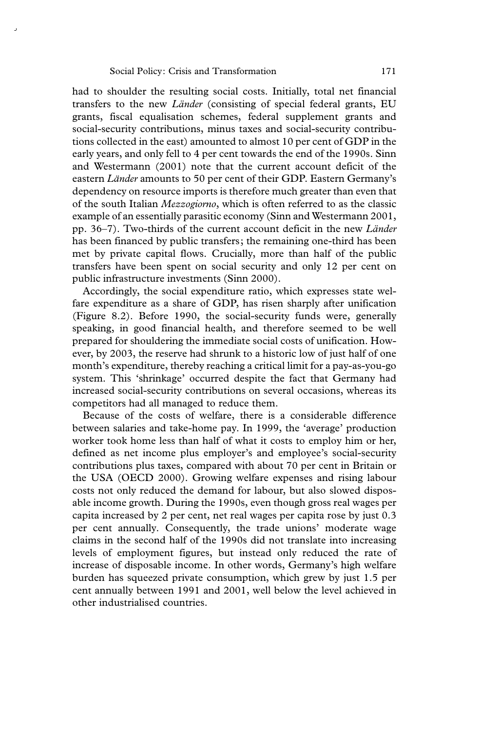had to shoulder the resulting social costs. Initially, total net financial transfers to the new *Länder* (consisting of special federal grants, EU grants, fiscal equalisation schemes, federal supplement grants and social-security contributions, minus taxes and social-security contributions collected in the east) amounted to almost 10 per cent of GDP in the early years, and only fell to 4 per cent towards the end of the 1990s. Sinn and Westermann (2001) note that the current account deficit of the eastern Länder amounts to 50 per cent of their GDP. Eastern Germany's dependency on resource imports is therefore much greater than even that of the south Italian Mezzogiorno, which is often referred to as the classic example of an essentially parasitic economy (Sinn and Westermann 2001, pp. 36–7). Two-thirds of the current account deficit in the new Länder has been financed by public transfers; the remaining one-third has been met by private capital flows. Crucially, more than half of the public transfers have been spent on social security and only 12 per cent on public infrastructure investments (Sinn 2000).

Accordingly, the social expenditure ratio, which expresses state welfare expenditure as a share of GDP, has risen sharply after unification (Figure 8.2). Before 1990, the social-security funds were, generally speaking, in good financial health, and therefore seemed to be well prepared for shouldering the immediate social costs of unification. However, by 2003, the reserve had shrunk to a historic low of just half of one month's expenditure, thereby reaching a critical limit for a pay-as-you-go system. This 'shrinkage' occurred despite the fact that Germany had increased social-security contributions on several occasions, whereas its competitors had all managed to reduce them.

Because of the costs of welfare, there is a considerable difference between salaries and take-home pay. In 1999, the 'average' production worker took home less than half of what it costs to employ him or her, defined as net income plus employer's and employee's social-security contributions plus taxes, compared with about 70 per cent in Britain or the USA (OECD 2000). Growing welfare expenses and rising labour costs not only reduced the demand for labour, but also slowed disposable income growth. During the 1990s, even though gross real wages per capita increased by 2 per cent, net real wages per capita rose by just 0.3 per cent annually. Consequently, the trade unions' moderate wage claims in the second half of the 1990s did not translate into increasing levels of employment figures, but instead only reduced the rate of increase of disposable income. In other words, Germany's high welfare burden has squeezed private consumption, which grew by just 1.5 per cent annually between 1991 and 2001, well below the level achieved in other industrialised countries.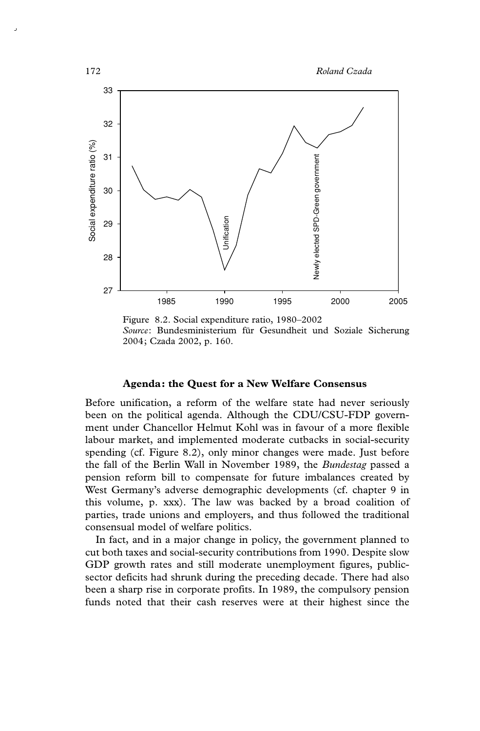

Figure 8.2. Social expenditure ratio, 1980–2002 Source: Bundesministerium für Gesundheit und Soziale Sicherung 2004; Czada 2002, p. 160.

### Agenda: the Quest for a New Welfare Consensus

Before unification, a reform of the welfare state had never seriously been on the political agenda. Although the CDU/CSU-FDP government under Chancellor Helmut Kohl was in favour of a more flexible labour market, and implemented moderate cutbacks in social-security spending (cf. Figure 8.2), only minor changes were made. Just before the fall of the Berlin Wall in November 1989, the Bundestag passed a pension reform bill to compensate for future imbalances created by West Germany's adverse demographic developments (cf. chapter 9 in this volume, p. xxx). The law was backed by a broad coalition of parties, trade unions and employers, and thus followed the traditional consensual model of welfare politics.

In fact, and in a major change in policy, the government planned to cut both taxes and social-security contributions from 1990. Despite slow GDP growth rates and still moderate unemployment figures, publicsector deficits had shrunk during the preceding decade. There had also been a sharp rise in corporate profits. In 1989, the compulsory pension funds noted that their cash reserves were at their highest since the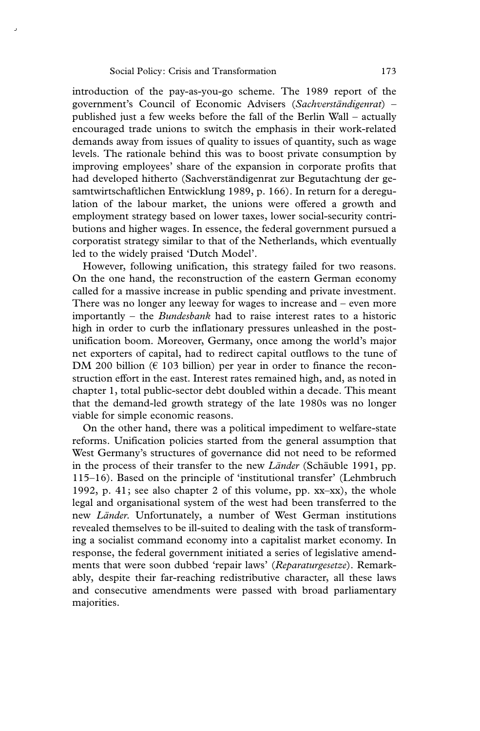introduction of the pay-as-you-go scheme. The 1989 report of the government's Council of Economic Advisers (Sachverständigenrat) – published just a few weeks before the fall of the Berlin Wall – actually encouraged trade unions to switch the emphasis in their work-related demands away from issues of quality to issues of quantity, such as wage levels. The rationale behind this was to boost private consumption by improving employees' share of the expansion in corporate profits that had developed hitherto (Sachverständigenrat zur Begutachtung der gesamtwirtschaftlichen Entwicklung 1989, p. 166). In return for a deregulation of the labour market, the unions were offered a growth and employment strategy based on lower taxes, lower social-security contributions and higher wages. In essence, the federal government pursued a corporatist strategy similar to that of the Netherlands, which eventually led to the widely praised 'Dutch Model'.

However, following unification, this strategy failed for two reasons. On the one hand, the reconstruction of the eastern German economy called for a massive increase in public spending and private investment. There was no longer any leeway for wages to increase and – even more importantly – the Bundesbank had to raise interest rates to a historic high in order to curb the inflationary pressures unleashed in the postunification boom. Moreover, Germany, once among the world's major net exporters of capital, had to redirect capital outflows to the tune of DM 200 billion ( $\epsilon$  103 billion) per year in order to finance the reconstruction effort in the east. Interest rates remained high, and, as noted in chapter 1, total public-sector debt doubled within a decade. This meant that the demand-led growth strategy of the late 1980s was no longer viable for simple economic reasons.

On the other hand, there was a political impediment to welfare-state reforms. Unification policies started from the general assumption that West Germany's structures of governance did not need to be reformed in the process of their transfer to the new *Länder* (Schäuble 1991, pp. 115–16). Based on the principle of 'institutional transfer' (Lehmbruch 1992, p. 41; see also chapter 2 of this volume, pp.  $xx-xx$ ), the whole legal and organisational system of the west had been transferred to the new Länder. Unfortunately, a number of West German institutions revealed themselves to be ill-suited to dealing with the task of transforming a socialist command economy into a capitalist market economy. In response, the federal government initiated a series of legislative amendments that were soon dubbed 'repair laws' (Reparaturgesetze). Remarkably, despite their far-reaching redistributive character, all these laws and consecutive amendments were passed with broad parliamentary majorities.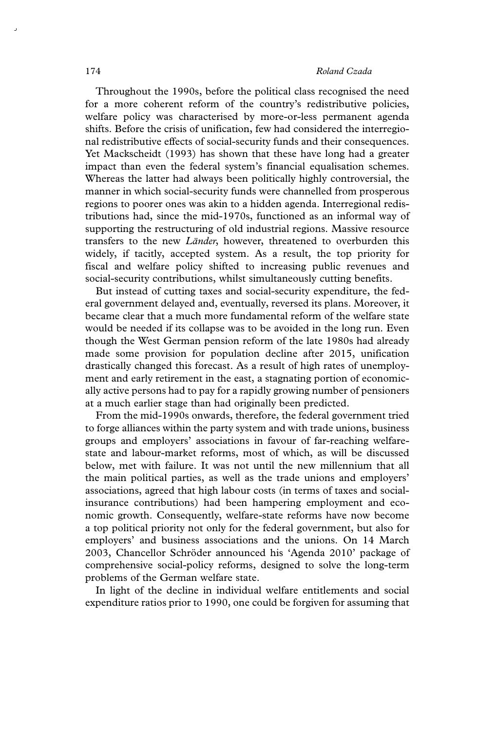Throughout the 1990s, before the political class recognised the need for a more coherent reform of the country's redistributive policies, welfare policy was characterised by more-or-less permanent agenda shifts. Before the crisis of unification, few had considered the interregional redistributive effects of social-security funds and their consequences. Yet Mackscheidt (1993) has shown that these have long had a greater impact than even the federal system's financial equalisation schemes. Whereas the latter had always been politically highly controversial, the manner in which social-security funds were channelled from prosperous regions to poorer ones was akin to a hidden agenda. Interregional redistributions had, since the mid-1970s, functioned as an informal way of supporting the restructuring of old industrial regions. Massive resource transfers to the new Länder, however, threatened to overburden this widely, if tacitly, accepted system. As a result, the top priority for fiscal and welfare policy shifted to increasing public revenues and social-security contributions, whilst simultaneously cutting benefits.

But instead of cutting taxes and social-security expenditure, the federal government delayed and, eventually, reversed its plans. Moreover, it became clear that a much more fundamental reform of the welfare state would be needed if its collapse was to be avoided in the long run. Even though the West German pension reform of the late 1980s had already made some provision for population decline after 2015, unification drastically changed this forecast. As a result of high rates of unemployment and early retirement in the east, a stagnating portion of economically active persons had to pay for a rapidly growing number of pensioners at a much earlier stage than had originally been predicted.

From the mid-1990s onwards, therefore, the federal government tried to forge alliances within the party system and with trade unions, business groups and employers' associations in favour of far-reaching welfarestate and labour-market reforms, most of which, as will be discussed below, met with failure. It was not until the new millennium that all the main political parties, as well as the trade unions and employers' associations, agreed that high labour costs (in terms of taxes and socialinsurance contributions) had been hampering employment and economic growth. Consequently, welfare-state reforms have now become a top political priority not only for the federal government, but also for employers' and business associations and the unions. On 14 March 2003, Chancellor Schröder announced his 'Agenda 2010' package of comprehensive social-policy reforms, designed to solve the long-term problems of the German welfare state.

In light of the decline in individual welfare entitlements and social expenditure ratios prior to 1990, one could be forgiven for assuming that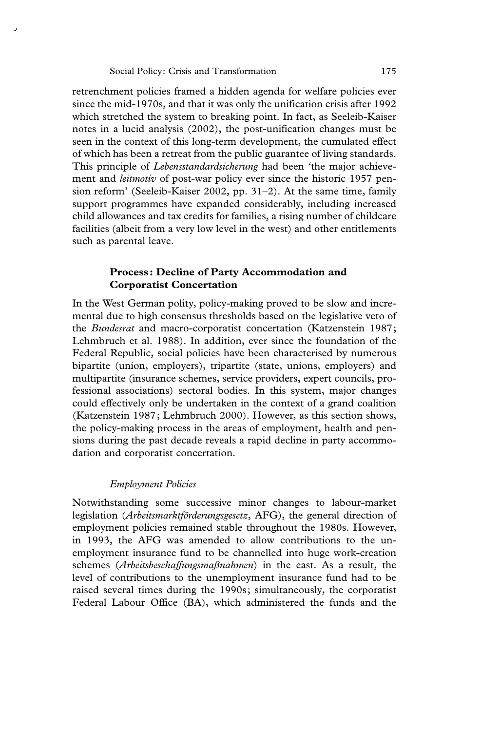retrenchment policies framed a hidden agenda for welfare policies ever since the mid-1970s, and that it was only the unification crisis after 1992 which stretched the system to breaking point. In fact, as Seeleib-Kaiser notes in a lucid analysis (2002), the post-unification changes must be seen in the context of this long-term development, the cumulated effect of which has been a retreat from the public guarantee of living standards. This principle of Lebensstandardsicherung had been 'the major achievement and *leitmotiv* of post-war policy ever since the historic 1957 pension reform' (Seeleib-Kaiser 2002, pp. 31–2). At the same time, family support programmes have expanded considerably, including increased child allowances and tax credits for families, a rising number of childcare facilities (albeit from a very low level in the west) and other entitlements such as parental leave.

# Process: Decline of Party Accommodation and Corporatist Concertation

In the West German polity, policy-making proved to be slow and incremental due to high consensus thresholds based on the legislative veto of the Bundesrat and macro-corporatist concertation (Katzenstein 1987; Lehmbruch et al. 1988). In addition, ever since the foundation of the Federal Republic, social policies have been characterised by numerous bipartite (union, employers), tripartite (state, unions, employers) and multipartite (insurance schemes, service providers, expert councils, professional associations) sectoral bodies. In this system, major changes could effectively only be undertaken in the context of a grand coalition (Katzenstein 1987; Lehmbruch 2000). However, as this section shows, the policy-making process in the areas of employment, health and pensions during the past decade reveals a rapid decline in party accommodation and corporatist concertation.

# Employment Policies

Notwithstanding some successive minor changes to labour-market legislation (Arbeitsmarktförderungsgesetz, AFG), the general direction of employment policies remained stable throughout the 1980s. However, in 1993, the AFG was amended to allow contributions to the unemployment insurance fund to be channelled into huge work-creation schemes (Arbeitsbeschaffungsmaßnahmen) in the east. As a result, the level of contributions to the unemployment insurance fund had to be raised several times during the 1990s; simultaneously, the corporatist Federal Labour Office (BA), which administered the funds and the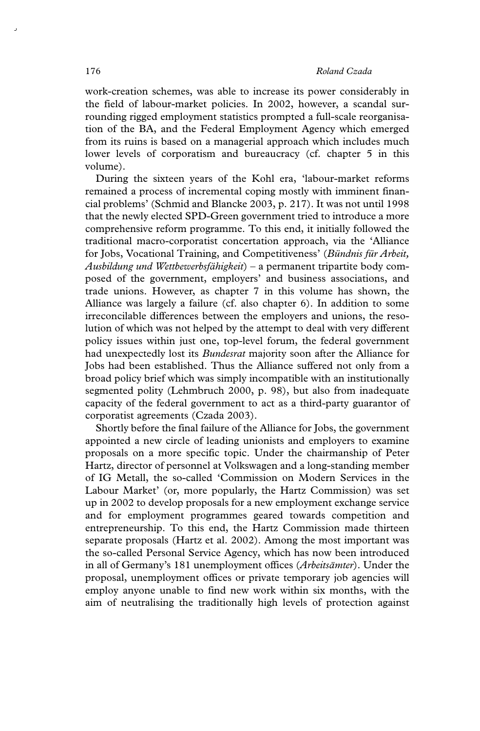work-creation schemes, was able to increase its power considerably in the field of labour-market policies. In 2002, however, a scandal surrounding rigged employment statistics prompted a full-scale reorganisation of the BA, and the Federal Employment Agency which emerged from its ruins is based on a managerial approach which includes much lower levels of corporatism and bureaucracy (cf. chapter 5 in this volume).

During the sixteen years of the Kohl era, 'labour-market reforms remained a process of incremental coping mostly with imminent financial problems' (Schmid and Blancke 2003, p. 217). It was not until 1998 that the newly elected SPD-Green government tried to introduce a more comprehensive reform programme. To this end, it initially followed the traditional macro-corporatist concertation approach, via the 'Alliance for Jobs, Vocational Training, and Competitiveness' (Bündnis für Arbeit, Ausbildung und Wettbewerbsfähigkeit) – a permanent tripartite body composed of the government, employers' and business associations, and trade unions. However, as chapter 7 in this volume has shown, the Alliance was largely a failure (cf. also chapter 6). In addition to some irreconcilable differences between the employers and unions, the resolution of which was not helped by the attempt to deal with very different policy issues within just one, top-level forum, the federal government had unexpectedly lost its Bundesrat majority soon after the Alliance for Jobs had been established. Thus the Alliance suffered not only from a broad policy brief which was simply incompatible with an institutionally segmented polity (Lehmbruch 2000, p. 98), but also from inadequate capacity of the federal government to act as a third-party guarantor of corporatist agreements (Czada 2003).

Shortly before the final failure of the Alliance for Jobs, the government appointed a new circle of leading unionists and employers to examine proposals on a more specific topic. Under the chairmanship of Peter Hartz, director of personnel at Volkswagen and a long-standing member of IG Metall, the so-called 'Commission on Modern Services in the Labour Market' (or, more popularly, the Hartz Commission) was set up in 2002 to develop proposals for a new employment exchange service and for employment programmes geared towards competition and entrepreneurship. To this end, the Hartz Commission made thirteen separate proposals (Hartz et al. 2002). Among the most important was the so-called Personal Service Agency, which has now been introduced in all of Germany's 181 unemployment offices (Arbeitsämter). Under the proposal, unemployment offices or private temporary job agencies will employ anyone unable to find new work within six months, with the aim of neutralising the traditionally high levels of protection against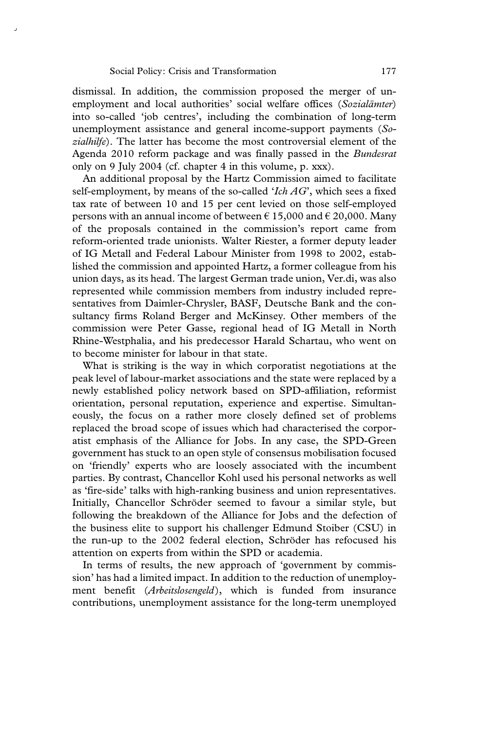dismissal. In addition, the commission proposed the merger of unemployment and local authorities' social welfare offices (Sozialämter) into so-called 'job centres', including the combination of long-term unemployment assistance and general income-support payments (Sozialhilfe). The latter has become the most controversial element of the Agenda 2010 reform package and was finally passed in the Bundesrat only on 9 July 2004 (cf. chapter 4 in this volume, p. xxx).

An additional proposal by the Hartz Commission aimed to facilitate self-employment, by means of the so-called ' $Ich AG$ ', which sees a fixed tax rate of between 10 and 15 per cent levied on those self-employed persons with an annual income of between  $\epsilon$  15,000 and  $\epsilon$  20,000. Many of the proposals contained in the commission's report came from reform-oriented trade unionists. Walter Riester, a former deputy leader of IG Metall and Federal Labour Minister from 1998 to 2002, established the commission and appointed Hartz, a former colleague from his union days, as its head. The largest German trade union, Ver.di, was also represented while commission members from industry included representatives from Daimler-Chrysler, BASF, Deutsche Bank and the consultancy firms Roland Berger and McKinsey. Other members of the commission were Peter Gasse, regional head of IG Metall in North Rhine-Westphalia, and his predecessor Harald Schartau, who went on to become minister for labour in that state.

What is striking is the way in which corporatist negotiations at the peak level of labour-market associations and the state were replaced by a newly established policy network based on SPD-affiliation, reformist orientation, personal reputation, experience and expertise. Simultaneously, the focus on a rather more closely defined set of problems replaced the broad scope of issues which had characterised the corporatist emphasis of the Alliance for Jobs. In any case, the SPD-Green government has stuck to an open style of consensus mobilisation focused on 'friendly' experts who are loosely associated with the incumbent parties. By contrast, Chancellor Kohl used his personal networks as well as 'fire-side' talks with high-ranking business and union representatives. Initially, Chancellor Schröder seemed to favour a similar style, but following the breakdown of the Alliance for Jobs and the defection of the business elite to support his challenger Edmund Stoiber (CSU) in the run-up to the 2002 federal election, Schröder has refocused his attention on experts from within the SPD or academia.

In terms of results, the new approach of 'government by commission' has had a limited impact. In addition to the reduction of unemployment benefit (Arbeitslosengeld), which is funded from insurance contributions, unemployment assistance for the long-term unemployed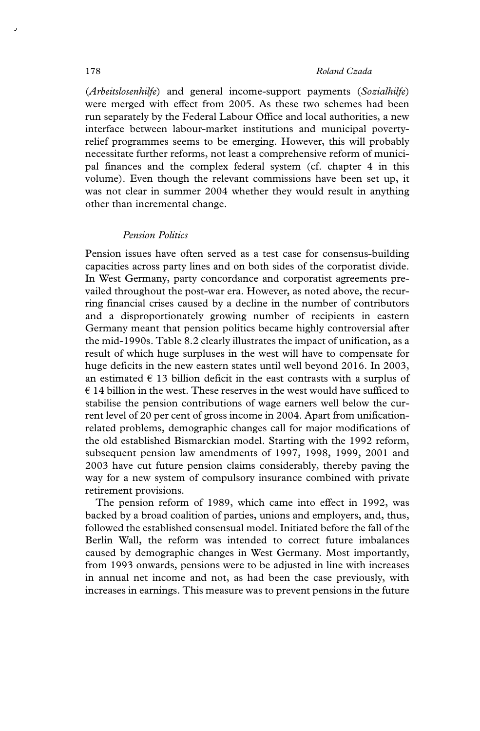(Arbeitslosenhilfe) and general income-support payments (Sozialhilfe) were merged with effect from 2005. As these two schemes had been run separately by the Federal Labour Office and local authorities, a new interface between labour-market institutions and municipal povertyrelief programmes seems to be emerging. However, this will probably necessitate further reforms, not least a comprehensive reform of municipal finances and the complex federal system (cf. chapter 4 in this volume). Even though the relevant commissions have been set up, it was not clear in summer 2004 whether they would result in anything other than incremental change.

### Pension Politics

Pension issues have often served as a test case for consensus-building capacities across party lines and on both sides of the corporatist divide. In West Germany, party concordance and corporatist agreements prevailed throughout the post-war era. However, as noted above, the recurring financial crises caused by a decline in the number of contributors and a disproportionately growing number of recipients in eastern Germany meant that pension politics became highly controversial after the mid-1990s. Table 8.2 clearly illustrates the impact of unification, as a result of which huge surpluses in the west will have to compensate for huge deficits in the new eastern states until well beyond 2016. In 2003, an estimated  $\epsilon$  13 billion deficit in the east contrasts with a surplus of  $\epsilon$  14 billion in the west. These reserves in the west would have sufficed to stabilise the pension contributions of wage earners well below the current level of 20 per cent of gross income in 2004. Apart from unificationrelated problems, demographic changes call for major modifications of the old established Bismarckian model. Starting with the 1992 reform, subsequent pension law amendments of 1997, 1998, 1999, 2001 and 2003 have cut future pension claims considerably, thereby paving the way for a new system of compulsory insurance combined with private retirement provisions.

The pension reform of 1989, which came into effect in 1992, was backed by a broad coalition of parties, unions and employers, and, thus, followed the established consensual model. Initiated before the fall of the Berlin Wall, the reform was intended to correct future imbalances caused by demographic changes in West Germany. Most importantly, from 1993 onwards, pensions were to be adjusted in line with increases in annual net income and not, as had been the case previously, with increases in earnings. This measure was to prevent pensions in the future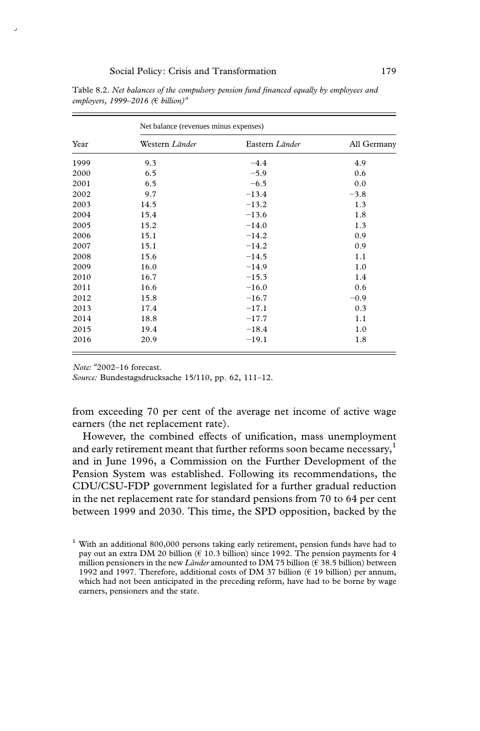|      | Net balance (revenues minus expenses) |                |             |  |  |  |  |
|------|---------------------------------------|----------------|-------------|--|--|--|--|
| Year | Western Länder                        | Eastern Länder | All Germany |  |  |  |  |
| 1999 | 9.3                                   | $-4.4$         | 4.9         |  |  |  |  |
| 2000 | 6.5                                   | $-5.9$         | 0.6         |  |  |  |  |
| 2001 | 6.5                                   | $-6.5$         | 0.0         |  |  |  |  |
| 2002 | 9.7                                   | $-13.4$        | $-3.8$      |  |  |  |  |
| 2003 | 14.5                                  | $-13.2$        | 1.3         |  |  |  |  |
| 2004 | 15.4                                  | $-13.6$        | 1.8         |  |  |  |  |
| 2005 | 15.2                                  | $-14.0$        | 1.3         |  |  |  |  |
| 2006 | 15.1                                  | $-14.2$        | 0.9         |  |  |  |  |
| 2007 | 15.1                                  | $-14.2$        | 0.9         |  |  |  |  |
| 2008 | 15.6                                  | $-14.5$        | 1.1         |  |  |  |  |
| 2009 | 16.0                                  | $-14.9$        | 1.0         |  |  |  |  |
| 2010 | 16.7                                  | $-15.3$        | 1.4         |  |  |  |  |
| 2011 | 16.6                                  | $-16.0$        | 0.6         |  |  |  |  |
| 2012 | 15.8                                  | $-16.7$        | $-0.9$      |  |  |  |  |
| 2013 | 17.4                                  | $-17.1$        | 0.3         |  |  |  |  |
| 2014 | 18.8                                  | $-17.7$        | 1.1         |  |  |  |  |
| 2015 | 19.4                                  | $-18.4$        | 1.0         |  |  |  |  |
| 2016 | 20.9                                  | $-19.1$        | 1.8         |  |  |  |  |

Table 8.2. Net balances of the compulsory pension fund financed equally by employees and employers, 1999–2016 ( $\in$  billion)<sup>a</sup>

Note: "2002-16 forecast.

Source: Bundestagsdrucksache 15/110, pp. 62, 111–12.

from exceeding 70 per cent of the average net income of active wage earners (the net replacement rate).

However, the combined effects of unification, mass unemployment and early retirement meant that further reforms soon became necessary,<sup>1</sup> and in June 1996, a Commission on the Further Development of the Pension System was established. Following its recommendations, the CDU/CSU-FDP government legislated for a further gradual reduction in the net replacement rate for standard pensions from 70 to 64 per cent between 1999 and 2030. This time, the SPD opposition, backed by the

<sup>&</sup>lt;sup>1</sup> With an additional 800,000 persons taking early retirement, pension funds have had to pay out an extra DM 20 billion ( $\epsilon$  10.3 billion) since 1992. The pension payments for 4 million pensioners in the new Länder amounted to DM 75 billion ( $\epsilon$  38.5 billion) between 1992 and 1997. Therefore, additional costs of DM 37 billion ( $\epsilon$  19 billion) per annum, which had not been anticipated in the preceding reform, have had to be borne by wage earners, pensioners and the state.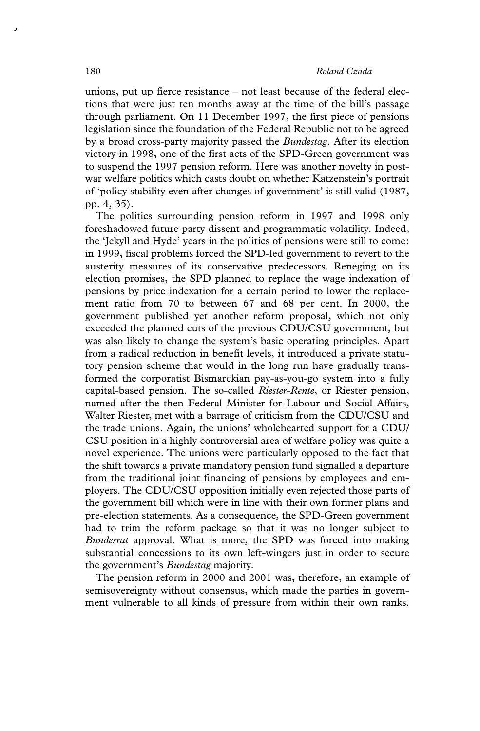unions, put up fierce resistance – not least because of the federal elections that were just ten months away at the time of the bill's passage through parliament. On 11 December 1997, the first piece of pensions legislation since the foundation of the Federal Republic not to be agreed by a broad cross-party majority passed the Bundestag. After its election victory in 1998, one of the first acts of the SPD-Green government was to suspend the 1997 pension reform. Here was another novelty in postwar welfare politics which casts doubt on whether Katzenstein's portrait of 'policy stability even after changes of government' is still valid (1987, pp. 4, 35).

The politics surrounding pension reform in 1997 and 1998 only foreshadowed future party dissent and programmatic volatility. Indeed, the 'Jekyll and Hyde' years in the politics of pensions were still to come: in 1999, fiscal problems forced the SPD-led government to revert to the austerity measures of its conservative predecessors. Reneging on its election promises, the SPD planned to replace the wage indexation of pensions by price indexation for a certain period to lower the replacement ratio from 70 to between 67 and 68 per cent. In 2000, the government published yet another reform proposal, which not only exceeded the planned cuts of the previous CDU/CSU government, but was also likely to change the system's basic operating principles. Apart from a radical reduction in benefit levels, it introduced a private statutory pension scheme that would in the long run have gradually transformed the corporatist Bismarckian pay-as-you-go system into a fully capital-based pension. The so-called Riester-Rente, or Riester pension, named after the then Federal Minister for Labour and Social Affairs, Walter Riester, met with a barrage of criticism from the CDU/CSU and the trade unions. Again, the unions' wholehearted support for a CDU/ CSU position in a highly controversial area of welfare policy was quite a novel experience. The unions were particularly opposed to the fact that the shift towards a private mandatory pension fund signalled a departure from the traditional joint financing of pensions by employees and employers. The CDU/CSU opposition initially even rejected those parts of the government bill which were in line with their own former plans and pre-election statements. As a consequence, the SPD-Green government had to trim the reform package so that it was no longer subject to Bundesrat approval. What is more, the SPD was forced into making substantial concessions to its own left-wingers just in order to secure the government's Bundestag majority.

The pension reform in 2000 and 2001 was, therefore, an example of semisovereignty without consensus, which made the parties in government vulnerable to all kinds of pressure from within their own ranks.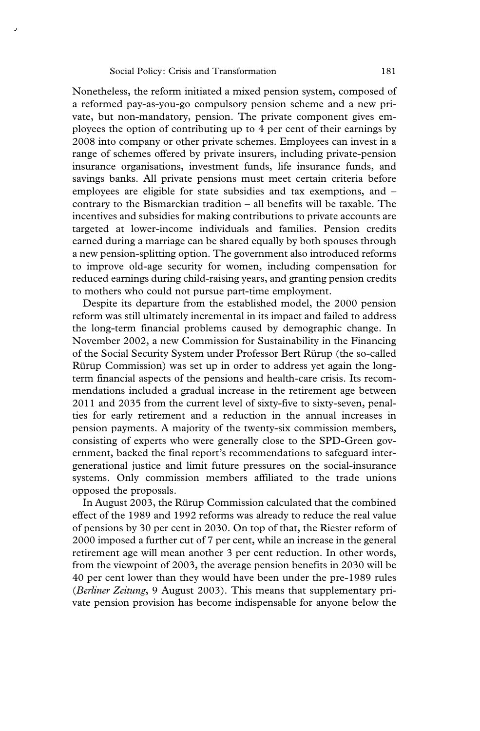Nonetheless, the reform initiated a mixed pension system, composed of a reformed pay-as-you-go compulsory pension scheme and a new private, but non-mandatory, pension. The private component gives employees the option of contributing up to 4 per cent of their earnings by 2008 into company or other private schemes. Employees can invest in a range of schemes offered by private insurers, including private-pension insurance organisations, investment funds, life insurance funds, and savings banks. All private pensions must meet certain criteria before employees are eligible for state subsidies and tax exemptions, and – contrary to the Bismarckian tradition – all benefits will be taxable. The incentives and subsidies for making contributions to private accounts are targeted at lower-income individuals and families. Pension credits earned during a marriage can be shared equally by both spouses through a new pension-splitting option. The government also introduced reforms to improve old-age security for women, including compensation for reduced earnings during child-raising years, and granting pension credits to mothers who could not pursue part-time employment.

Despite its departure from the established model, the 2000 pension reform was still ultimately incremental in its impact and failed to address the long-term financial problems caused by demographic change. In November 2002, a new Commission for Sustainability in the Financing of the Social Security System under Professor Bert Rürup (the so-called Rürup Commission) was set up in order to address yet again the longterm financial aspects of the pensions and health-care crisis. Its recommendations included a gradual increase in the retirement age between 2011 and 2035 from the current level of sixty-five to sixty-seven, penalties for early retirement and a reduction in the annual increases in pension payments. A majority of the twenty-six commission members, consisting of experts who were generally close to the SPD-Green government, backed the final report's recommendations to safeguard intergenerational justice and limit future pressures on the social-insurance systems. Only commission members affiliated to the trade unions opposed the proposals.

In August 2003, the Rürup Commission calculated that the combined effect of the 1989 and 1992 reforms was already to reduce the real value of pensions by 30 per cent in 2030. On top of that, the Riester reform of 2000 imposed a further cut of 7 per cent, while an increase in the general retirement age will mean another 3 per cent reduction. In other words, from the viewpoint of 2003, the average pension benefits in 2030 will be 40 per cent lower than they would have been under the pre-1989 rules (Berliner Zeitung, 9 August 2003). This means that supplementary private pension provision has become indispensable for anyone below the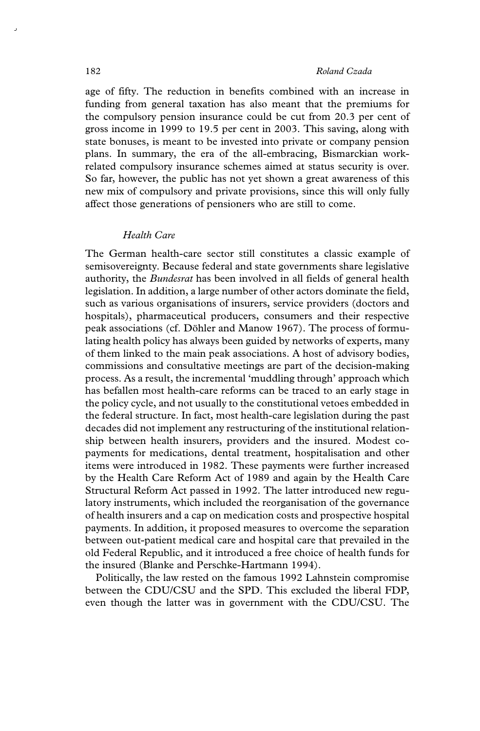age of fifty. The reduction in benefits combined with an increase in funding from general taxation has also meant that the premiums for the compulsory pension insurance could be cut from 20.3 per cent of gross income in 1999 to 19.5 per cent in 2003. This saving, along with state bonuses, is meant to be invested into private or company pension plans. In summary, the era of the all-embracing, Bismarckian workrelated compulsory insurance schemes aimed at status security is over. So far, however, the public has not yet shown a great awareness of this new mix of compulsory and private provisions, since this will only fully affect those generations of pensioners who are still to come.

#### Health Care

The German health-care sector still constitutes a classic example of semisovereignty. Because federal and state governments share legislative authority, the Bundesrat has been involved in all fields of general health legislation. In addition, a large number of other actors dominate the field, such as various organisations of insurers, service providers (doctors and hospitals), pharmaceutical producers, consumers and their respective peak associations (cf. Döhler and Manow 1967). The process of formulating health policy has always been guided by networks of experts, many of them linked to the main peak associations. A host of advisory bodies, commissions and consultative meetings are part of the decision-making process. As a result, the incremental 'muddling through' approach which has befallen most health-care reforms can be traced to an early stage in the policy cycle, and not usually to the constitutional vetoes embedded in the federal structure. In fact, most health-care legislation during the past decades did not implement any restructuring of the institutional relationship between health insurers, providers and the insured. Modest copayments for medications, dental treatment, hospitalisation and other items were introduced in 1982. These payments were further increased by the Health Care Reform Act of 1989 and again by the Health Care Structural Reform Act passed in 1992. The latter introduced new regulatory instruments, which included the reorganisation of the governance of health insurers and a cap on medication costs and prospective hospital payments. In addition, it proposed measures to overcome the separation between out-patient medical care and hospital care that prevailed in the old Federal Republic, and it introduced a free choice of health funds for the insured (Blanke and Perschke-Hartmann 1994).

Politically, the law rested on the famous 1992 Lahnstein compromise between the CDU/CSU and the SPD. This excluded the liberal FDP, even though the latter was in government with the CDU/CSU. The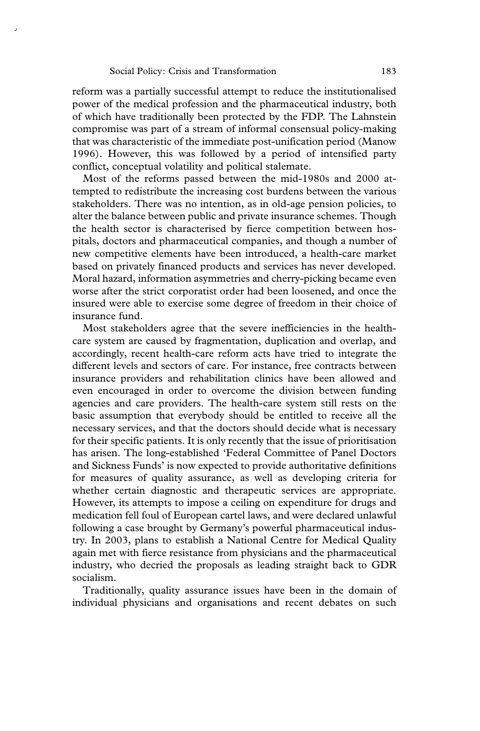reform was a partially successful attempt to reduce the institutionalised power of the medical profession and the pharmaceutical industry, both of which have traditionally been protected by the FDP. The Lahnstein compromise was part of a stream of informal consensual policy-making that was characteristic of the immediate post-unification period (Manow 1996). However, this was followed by a period of intensified party conflict, conceptual volatility and political stalemate.

Most of the reforms passed between the mid-1980s and 2000 attempted to redistribute the increasing cost burdens between the various stakeholders. There was no intention, as in old-age pension policies, to alter the balance between public and private insurance schemes. Though the health sector is characterised by fierce competition between hospitals, doctors and pharmaceutical companies, and though a number of new competitive elements have been introduced, a health-care market based on privately financed products and services has never developed. Moral hazard, information asymmetries and cherry-picking became even worse after the strict corporatist order had been loosened, and once the insured were able to exercise some degree of freedom in their choice of insurance fund.

Most stakeholders agree that the severe inefficiencies in the healthcare system are caused by fragmentation, duplication and overlap, and accordingly, recent health-care reform acts have tried to integrate the different levels and sectors of care. For instance, free contracts between insurance providers and rehabilitation clinics have been allowed and even encouraged in order to overcome the division between funding agencies and care providers. The health-care system still rests on the basic assumption that everybody should be entitled to receive all the necessary services, and that the doctors should decide what is necessary for their specific patients. It is only recently that the issue of prioritisation has arisen. The long-established 'Federal Committee of Panel Doctors and Sickness Funds' is now expected to provide authoritative definitions for measures of quality assurance, as well as developing criteria for whether certain diagnostic and therapeutic services are appropriate. However, its attempts to impose a ceiling on expenditure for drugs and medication fell foul of European cartel laws, and were declared unlawful following a case brought by Germany's powerful pharmaceutical industry. In 2003, plans to establish a National Centre for Medical Quality again met with fierce resistance from physicians and the pharmaceutical industry, who decried the proposals as leading straight back to GDR socialism.

Traditionally, quality assurance issues have been in the domain of individual physicians and organisations and recent debates on such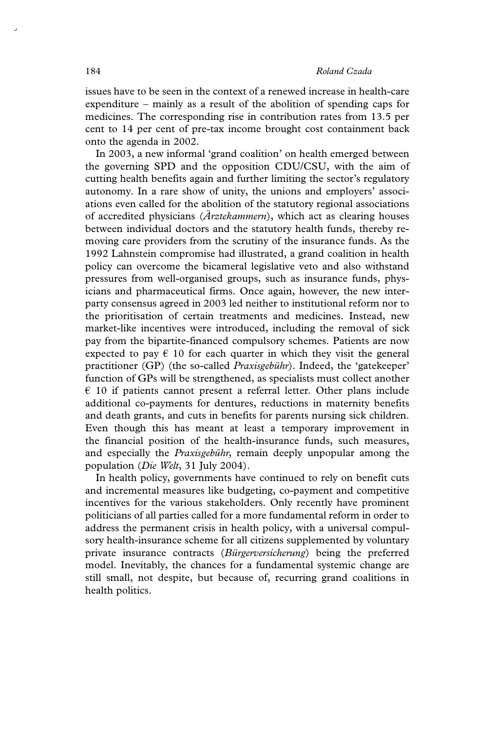issues have to be seen in the context of a renewed increase in health-care expenditure – mainly as a result of the abolition of spending caps for medicines. The corresponding rise in contribution rates from 13.5 per cent to 14 per cent of pre-tax income brought cost containment back onto the agenda in 2002.

In 2003, a new informal 'grand coalition' on health emerged between the governing SPD and the opposition CDU/CSU, with the aim of cutting health benefits again and further limiting the sector's regulatory autonomy. In a rare show of unity, the unions and employers' associations even called for the abolition of the statutory regional associations of accredited physicians ( $\AA$ rztekammern), which act as clearing houses between individual doctors and the statutory health funds, thereby removing care providers from the scrutiny of the insurance funds. As the 1992 Lahnstein compromise had illustrated, a grand coalition in health policy can overcome the bicameral legislative veto and also withstand pressures from well-organised groups, such as insurance funds, physicians and pharmaceutical firms. Once again, however, the new interparty consensus agreed in 2003 led neither to institutional reform nor to the prioritisation of certain treatments and medicines. Instead, new market-like incentives were introduced, including the removal of sick pay from the bipartite-financed compulsory schemes. Patients are now expected to pay  $\epsilon$  10 for each quarter in which they visit the general practitioner (GP) (the so-called *Praxisgebühr*). Indeed, the 'gatekeeper' function of GPs will be strengthened, as specialists must collect another  $\epsilon$  10 if patients cannot present a referral letter. Other plans include additional co-payments for dentures, reductions in maternity benefits and death grants, and cuts in benefits for parents nursing sick children. Even though this has meant at least a temporary improvement in the financial position of the health-insurance funds, such measures, and especially the Praxisgebühr, remain deeply unpopular among the population (Die Welt, 31 July 2004).

In health policy, governments have continued to rely on benefit cuts and incremental measures like budgeting, co-payment and competitive incentives for the various stakeholders. Only recently have prominent politicians of all parties called for a more fundamental reform in order to address the permanent crisis in health policy, with a universal compulsory health-insurance scheme for all citizens supplemented by voluntary private insurance contracts (Bürgerversicherung) being the preferred model. Inevitably, the chances for a fundamental systemic change are still small, not despite, but because of, recurring grand coalitions in health politics.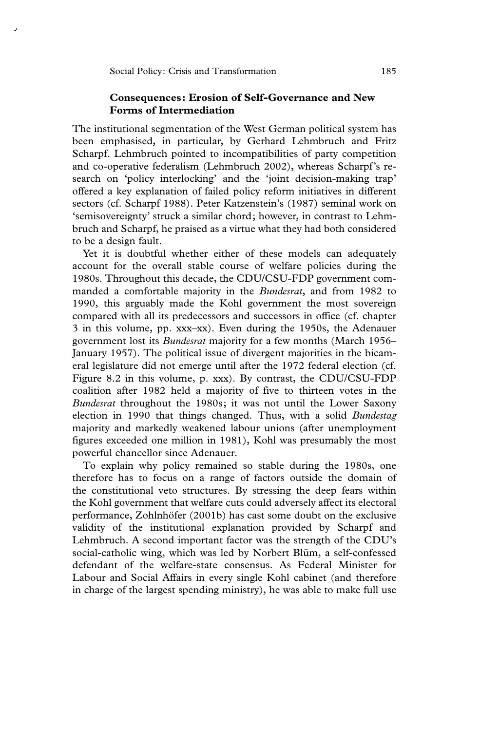### Consequences: Erosion of Self-Governance and New Forms of Intermediation

The institutional segmentation of the West German political system has been emphasised, in particular, by Gerhard Lehmbruch and Fritz Scharpf. Lehmbruch pointed to incompatibilities of party competition and co-operative federalism (Lehmbruch 2002), whereas Scharpf's research on 'policy interlocking' and the 'joint decision-making trap' offered a key explanation of failed policy reform initiatives in different sectors (cf. Scharpf 1988). Peter Katzenstein's (1987) seminal work on 'semisovereignty' struck a similar chord; however, in contrast to Lehmbruch and Scharpf, he praised as a virtue what they had both considered to be a design fault.

Yet it is doubtful whether either of these models can adequately account for the overall stable course of welfare policies during the 1980s. Throughout this decade, the CDU/CSU-FDP government commanded a comfortable majority in the Bundesrat, and from 1982 to 1990, this arguably made the Kohl government the most sovereign compared with all its predecessors and successors in office (cf. chapter 3 in this volume, pp. xxx–xx). Even during the 1950s, the Adenauer government lost its Bundesrat majority for a few months (March 1956– January 1957). The political issue of divergent majorities in the bicameral legislature did not emerge until after the 1972 federal election (cf. Figure 8.2 in this volume, p. xxx). By contrast, the CDU/CSU-FDP coalition after 1982 held a majority of five to thirteen votes in the Bundesrat throughout the 1980s; it was not until the Lower Saxony election in 1990 that things changed. Thus, with a solid Bundestag majority and markedly weakened labour unions (after unemployment figures exceeded one million in 1981), Kohl was presumably the most powerful chancellor since Adenauer.

To explain why policy remained so stable during the 1980s, one therefore has to focus on a range of factors outside the domain of the constitutional veto structures. By stressing the deep fears within the Kohl government that welfare cuts could adversely affect its electoral performance, Zohlnhöfer (2001b) has cast some doubt on the exclusive validity of the institutional explanation provided by Scharpf and Lehmbruch. A second important factor was the strength of the CDU's social-catholic wing, which was led by Norbert Blüm, a self-confessed defendant of the welfare-state consensus. As Federal Minister for Labour and Social Affairs in every single Kohl cabinet (and therefore in charge of the largest spending ministry), he was able to make full use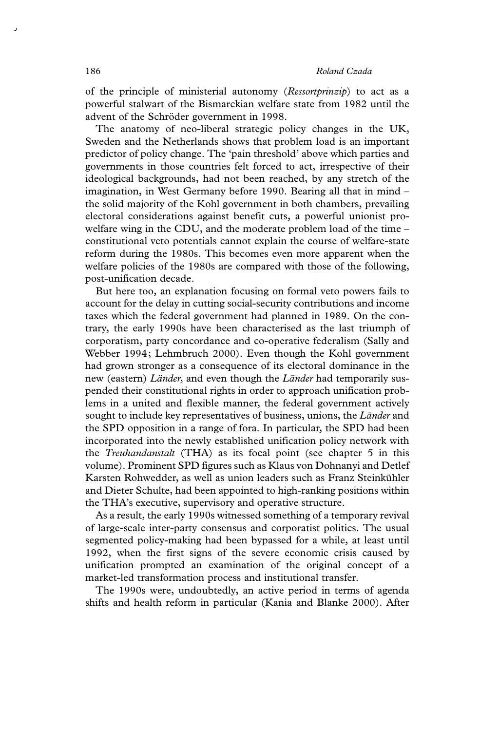of the principle of ministerial autonomy (Ressortprinzip) to act as a powerful stalwart of the Bismarckian welfare state from 1982 until the advent of the Schröder government in 1998.

The anatomy of neo-liberal strategic policy changes in the UK, Sweden and the Netherlands shows that problem load is an important predictor of policy change. The 'pain threshold' above which parties and governments in those countries felt forced to act, irrespective of their ideological backgrounds, had not been reached, by any stretch of the imagination, in West Germany before 1990. Bearing all that in mind – the solid majority of the Kohl government in both chambers, prevailing electoral considerations against benefit cuts, a powerful unionist prowelfare wing in the CDU, and the moderate problem load of the time – constitutional veto potentials cannot explain the course of welfare-state reform during the 1980s. This becomes even more apparent when the welfare policies of the 1980s are compared with those of the following, post-unification decade.

But here too, an explanation focusing on formal veto powers fails to account for the delay in cutting social-security contributions and income taxes which the federal government had planned in 1989. On the contrary, the early 1990s have been characterised as the last triumph of corporatism, party concordance and co-operative federalism (Sally and Webber 1994; Lehmbruch 2000). Even though the Kohl government had grown stronger as a consequence of its electoral dominance in the new (eastern) Länder, and even though the Länder had temporarily suspended their constitutional rights in order to approach unification problems in a united and flexible manner, the federal government actively sought to include key representatives of business, unions, the Länder and the SPD opposition in a range of fora. In particular, the SPD had been incorporated into the newly established unification policy network with the Treuhandanstalt (THA) as its focal point (see chapter 5 in this volume). Prominent SPD figures such as Klaus von Dohnanyi and Detlef Karsten Rohwedder, as well as union leaders such as Franz Steinkühler and Dieter Schulte, had been appointed to high-ranking positions within the THA's executive, supervisory and operative structure.

As a result, the early 1990s witnessed something of a temporary revival of large-scale inter-party consensus and corporatist politics. The usual segmented policy-making had been bypassed for a while, at least until 1992, when the first signs of the severe economic crisis caused by unification prompted an examination of the original concept of a market-led transformation process and institutional transfer.

The 1990s were, undoubtedly, an active period in terms of agenda shifts and health reform in particular (Kania and Blanke 2000). After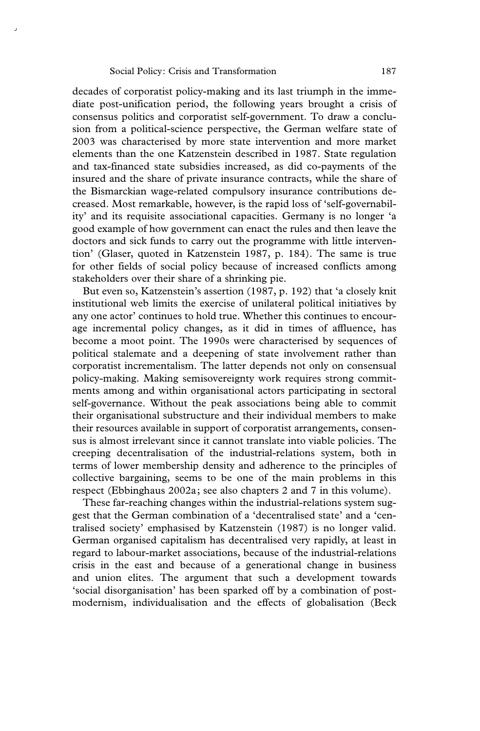decades of corporatist policy-making and its last triumph in the immediate post-unification period, the following years brought a crisis of consensus politics and corporatist self-government. To draw a conclusion from a political-science perspective, the German welfare state of 2003 was characterised by more state intervention and more market elements than the one Katzenstein described in 1987. State regulation and tax-financed state subsidies increased, as did co-payments of the insured and the share of private insurance contracts, while the share of the Bismarckian wage-related compulsory insurance contributions decreased. Most remarkable, however, is the rapid loss of 'self-governability' and its requisite associational capacities. Germany is no longer 'a good example of how government can enact the rules and then leave the doctors and sick funds to carry out the programme with little intervention' (Glaser, quoted in Katzenstein 1987, p. 184). The same is true for other fields of social policy because of increased conflicts among stakeholders over their share of a shrinking pie.

But even so, Katzenstein's assertion (1987, p. 192) that 'a closely knit institutional web limits the exercise of unilateral political initiatives by any one actor' continues to hold true. Whether this continues to encourage incremental policy changes, as it did in times of affluence, has become a moot point. The 1990s were characterised by sequences of political stalemate and a deepening of state involvement rather than corporatist incrementalism. The latter depends not only on consensual policy-making. Making semisovereignty work requires strong commitments among and within organisational actors participating in sectoral self-governance. Without the peak associations being able to commit their organisational substructure and their individual members to make their resources available in support of corporatist arrangements, consensus is almost irrelevant since it cannot translate into viable policies. The creeping decentralisation of the industrial-relations system, both in terms of lower membership density and adherence to the principles of collective bargaining, seems to be one of the main problems in this respect (Ebbinghaus 2002a; see also chapters 2 and 7 in this volume).

These far-reaching changes within the industrial-relations system suggest that the German combination of a 'decentralised state' and a 'centralised society' emphasised by Katzenstein (1987) is no longer valid. German organised capitalism has decentralised very rapidly, at least in regard to labour-market associations, because of the industrial-relations crisis in the east and because of a generational change in business and union elites. The argument that such a development towards 'social disorganisation' has been sparked off by a combination of postmodernism, individualisation and the effects of globalisation (Beck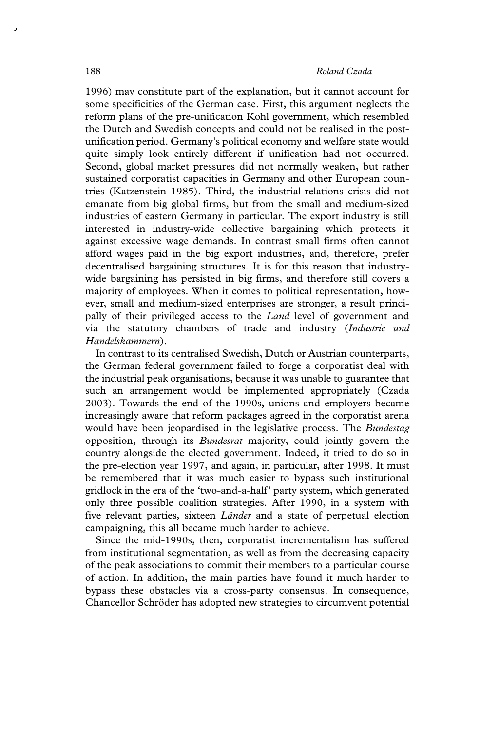1996) may constitute part of the explanation, but it cannot account for some specificities of the German case. First, this argument neglects the reform plans of the pre-unification Kohl government, which resembled the Dutch and Swedish concepts and could not be realised in the postunification period. Germany's political economy and welfare state would quite simply look entirely different if unification had not occurred. Second, global market pressures did not normally weaken, but rather sustained corporatist capacities in Germany and other European countries (Katzenstein 1985). Third, the industrial-relations crisis did not emanate from big global firms, but from the small and medium-sized industries of eastern Germany in particular. The export industry is still interested in industry-wide collective bargaining which protects it against excessive wage demands. In contrast small firms often cannot afford wages paid in the big export industries, and, therefore, prefer decentralised bargaining structures. It is for this reason that industrywide bargaining has persisted in big firms, and therefore still covers a majority of employees. When it comes to political representation, however, small and medium-sized enterprises are stronger, a result principally of their privileged access to the Land level of government and via the statutory chambers of trade and industry (Industrie und Handelskammern).

In contrast to its centralised Swedish, Dutch or Austrian counterparts, the German federal government failed to forge a corporatist deal with the industrial peak organisations, because it was unable to guarantee that such an arrangement would be implemented appropriately (Czada 2003). Towards the end of the 1990s, unions and employers became increasingly aware that reform packages agreed in the corporatist arena would have been jeopardised in the legislative process. The Bundestag opposition, through its Bundesrat majority, could jointly govern the country alongside the elected government. Indeed, it tried to do so in the pre-election year 1997, and again, in particular, after 1998. It must be remembered that it was much easier to bypass such institutional gridlock in the era of the 'two-and-a-half' party system, which generated only three possible coalition strategies. After 1990, in a system with five relevant parties, sixteen Länder and a state of perpetual election campaigning, this all became much harder to achieve.

Since the mid-1990s, then, corporatist incrementalism has suffered from institutional segmentation, as well as from the decreasing capacity of the peak associations to commit their members to a particular course of action. In addition, the main parties have found it much harder to bypass these obstacles via a cross-party consensus. In consequence, Chancellor Schröder has adopted new strategies to circumvent potential